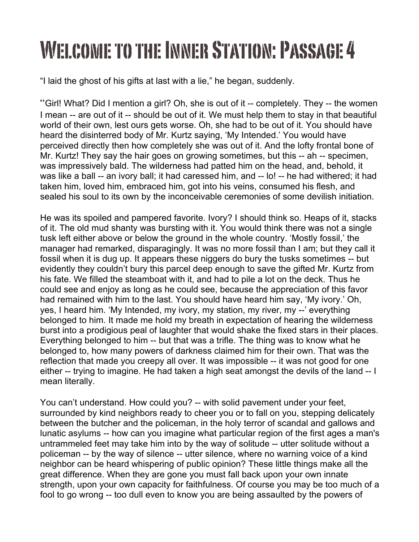## Welcome to the Inner Station: Passage 4

"I laid the ghost of his gifts at last with a lie," he began, suddenly.

"Girl! What? Did I mention a girl? Oh, she is out of it -- completely. They -- the women I mean -- are out of it -- should be out of it. We must help them to stay in that beautiful world of their own, lest ours gets worse. Oh, she had to be out of it. You should have heard the disinterred body of Mr. Kurtz saying, 'My Intended.' You would have perceived directly then how completely she was out of it. And the lofty frontal bone of Mr. Kurtz! They say the hair goes on growing sometimes, but this -- ah -- specimen, was impressively bald. The wilderness had patted him on the head, and, behold, it was like a ball -- an ivory ball; it had caressed him, and -- lo! -- he had withered; it had taken him, loved him, embraced him, got into his veins, consumed his flesh, and sealed his soul to its own by the inconceivable ceremonies of some devilish initiation.

He was its spoiled and pampered favorite. Ivory? I should think so. Heaps of it, stacks of it. The old mud shanty was bursting with it. You would think there was not a single tusk left either above or below the ground in the whole country. 'Mostly fossil,' the manager had remarked, disparagingly. It was no more fossil than I am; but they call it fossil when it is dug up. It appears these niggers do bury the tusks sometimes -- but evidently they couldn't bury this parcel deep enough to save the gifted Mr. Kurtz from his fate. We filled the steamboat with it, and had to pile a lot on the deck. Thus he could see and enjoy as long as he could see, because the appreciation of this favor had remained with him to the last. You should have heard him say, 'My ivory.' Oh, yes, I heard him. 'My Intended, my ivory, my station, my river, my --' everything belonged to him. It made me hold my breath in expectation of hearing the wilderness burst into a prodigious peal of laughter that would shake the fixed stars in their places. Everything belonged to him -- but that was a trifle. The thing was to know what he belonged to, how many powers of darkness claimed him for their own. That was the reflection that made you creepy all over. It was impossible -- it was not good for one either -- trying to imagine. He had taken a high seat amongst the devils of the land -- I mean literally.

You can't understand. How could you? -- with solid pavement under your feet, surrounded by kind neighbors ready to cheer you or to fall on you, stepping delicately between the butcher and the policeman, in the holy terror of scandal and gallows and lunatic asylums -- how can you imagine what particular region of the first ages a man's untrammeled feet may take him into by the way of solitude -- utter solitude without a policeman -- by the way of silence -- utter silence, where no warning voice of a kind neighbor can be heard whispering of public opinion? These little things make all the great difference. When they are gone you must fall back upon your own innate strength, upon your own capacity for faithfulness. Of course you may be too much of a fool to go wrong -- too dull even to know you are being assaulted by the powers of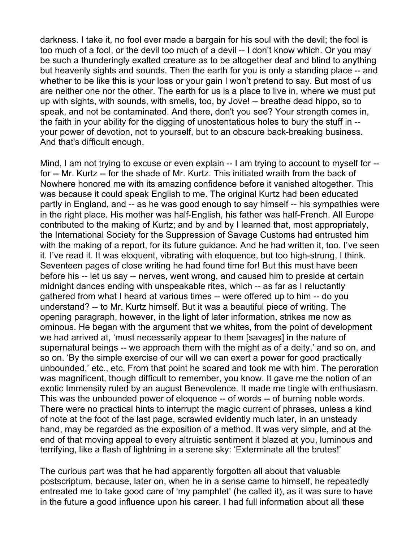darkness. I take it, no fool ever made a bargain for his soul with the devil; the fool is too much of a fool, or the devil too much of a devil -- I don't know which. Or you may be such a thunderingly exalted creature as to be altogether deaf and blind to anything but heavenly sights and sounds. Then the earth for you is only a standing place -- and whether to be like this is your loss or your gain I won't pretend to say. But most of us are neither one nor the other. The earth for us is a place to live in, where we must put up with sights, with sounds, with smells, too, by Jove! -- breathe dead hippo, so to speak, and not be contaminated. And there, don't you see? Your strength comes in, the faith in your ability for the digging of unostentatious holes to bury the stuff in - your power of devotion, not to yourself, but to an obscure back-breaking business. And that's difficult enough.

Mind, I am not trying to excuse or even explain -- I am trying to account to myself for - for -- Mr. Kurtz -- for the shade of Mr. Kurtz. This initiated wraith from the back of Nowhere honored me with its amazing confidence before it vanished altogether. This was because it could speak English to me. The original Kurtz had been educated partly in England, and -- as he was good enough to say himself -- his sympathies were in the right place. His mother was half-English, his father was half-French. All Europe contributed to the making of Kurtz; and by and by I learned that, most appropriately, the International Society for the Suppression of Savage Customs had entrusted him with the making of a report, for its future guidance. And he had written it, too. I've seen it. I've read it. It was eloquent, vibrating with eloquence, but too high-strung, I think. Seventeen pages of close writing he had found time for! But this must have been before his -- let us say -- nerves, went wrong, and caused him to preside at certain midnight dances ending with unspeakable rites, which -- as far as I reluctantly gathered from what I heard at various times -- were offered up to him -- do you understand? -- to Mr. Kurtz himself. But it was a beautiful piece of writing. The opening paragraph, however, in the light of later information, strikes me now as ominous. He began with the argument that we whites, from the point of development we had arrived at, 'must necessarily appear to them [savages] in the nature of supernatural beings -- we approach them with the might as of a deity,' and so on, and so on. 'By the simple exercise of our will we can exert a power for good practically unbounded,' etc., etc. From that point he soared and took me with him. The peroration was magnificent, though difficult to remember, you know. It gave me the notion of an exotic Immensity ruled by an august Benevolence. It made me tingle with enthusiasm. This was the unbounded power of eloquence -- of words -- of burning noble words. There were no practical hints to interrupt the magic current of phrases, unless a kind of note at the foot of the last page, scrawled evidently much later, in an unsteady hand, may be regarded as the exposition of a method. It was very simple, and at the end of that moving appeal to every altruistic sentiment it blazed at you, luminous and terrifying, like a flash of lightning in a serene sky: 'Exterminate all the brutes!'

The curious part was that he had apparently forgotten all about that valuable postscriptum, because, later on, when he in a sense came to himself, he repeatedly entreated me to take good care of 'my pamphlet' (he called it), as it was sure to have in the future a good influence upon his career. I had full information about all these